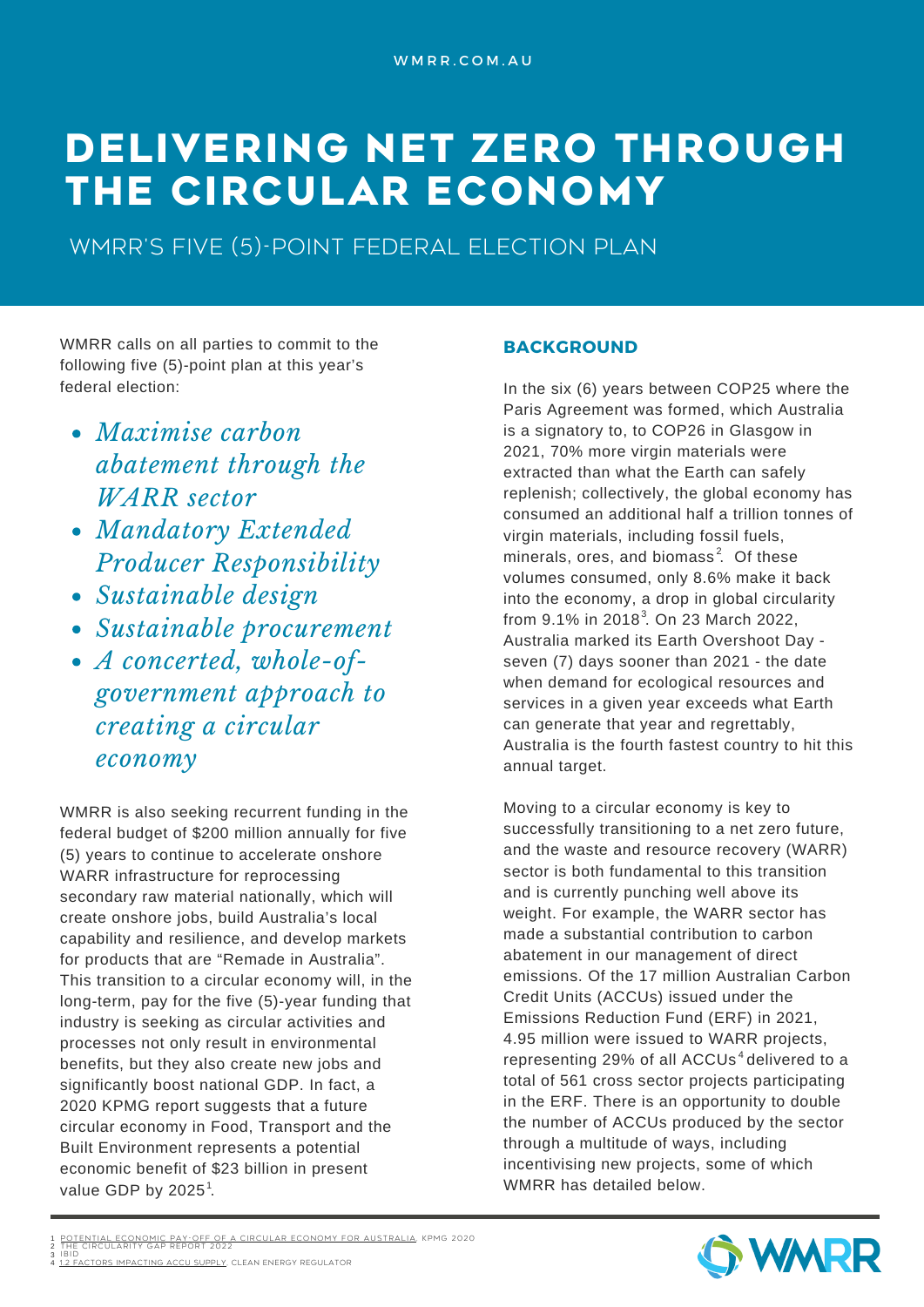# **DELIVERING NET ZERO THROUGH THE CIRCULAR ECONOMY**

WMRR's five (5)-point federal election plan

WMRR calls on all parties to commit to the following five (5)-point plan at this year's federal election:

- *Maximise carbon abatement through the WARR sector*
- *Mandatory Extended Producer Responsibility*
- *Sustainable design*
- *Sustainable procurement*
- *A concerted, whole-ofgovernment approach to creating a circular economy*

WMRR is also seeking recurrent funding in the federal budget of \$200 million annually for five (5) years to continue to accelerate onshore WARR infrastructure for reprocessing secondary raw material nationally, which will create onshore jobs, build Australia's local capability and resilience, and develop markets for products that are "Remade in Australia". This transition to a circular economy will, in the long-term, pay for the five (5)-year funding that industry is seeking as circular activities and processes not only result in environmental benefits, but they also create new jobs and significantly boost national GDP. In fact, a 2020 KPMG report suggests that a future circular economy in Food, Transport and the Built Environment represents a potential economic benefit of \$23 billion in present value GDP by 2025 $^1$ .

### **BACKGROUND**

In the six (6) years between COP25 where the Paris Agreement was formed, which Australia is a signatory to, to COP26 in Glasgow in 2021, 70% more virgin materials were extracted than what the Earth can safely replenish; collectively, the global economy has consumed an additional half a trillion tonnes of virgin materials, including fossil fuels, minerals, ores, and biomass<sup>2</sup>. Of these volumes consumed, only 8.6% make it back into the economy, a drop in global circularity from 9.1% in 2018<sup>3</sup>. On 23 March 2022, Australia marked its Earth Overshoot Day seven (7) days sooner than 2021 - the date when demand for ecological resources and services in a given year exceeds what Earth can generate that year and regrettably, Australia is the fourth fastest country to hit this annual target.

Moving to a circular economy is key to successfully transitioning to a net zero future, and the waste and resource recovery (WARR) sector is both fundamental to this transition and is currently punching well above its weight. For example, the WARR sector has made a substantial contribution to carbon abatement in our management of direct emissions. Of the 17 million Australian Carbon Credit Units (ACCUs) issued under the Emissions Reduction Fund (ERF) in 2021, 4.95 million were issued to WARR projects, representing 29% of all ACCUs<sup>4</sup> delivered to a total of 561 cross sector projects participating in the ERF. There is an opportunity to double the number of ACCUs produced by the sector through a multitude of ways, including incentivising new projects, some of which WMRR has detailed below.



TENTIAL ECONOMIC PAY-OFF OF A CI[RCUL](https://home.kpmg/au/en/home/insights/2020/05/potential-economic-pay-off-circular-economy-australia.html)AR ECONOMY FOR AUSTRALIA, KPMG 2020<br>E CIRCULARITY GAP REPORT 2022 1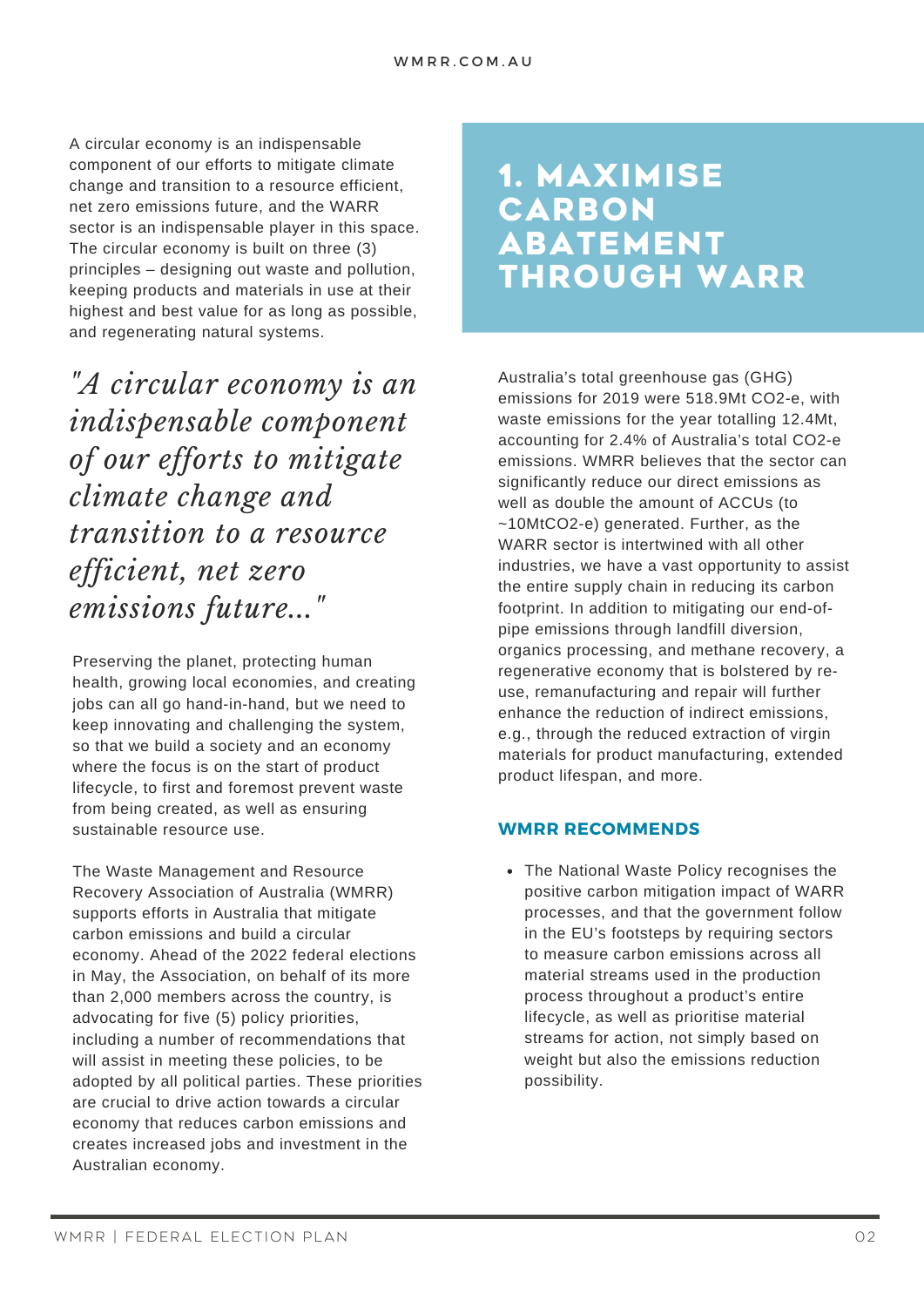A circular economy is an indispensable component of our efforts to mitigate climate change and transition to a resource efficient, net zero emissions future, and the WARR sector is an indispensable player in this space. The circular economy is built on three (3) principles – designing out waste and pollution, keeping products and materials in use at their highest and best value for as long as possible, and regenerating natural systems.

*"A circular economy is an indispensable component of our efforts to mitigate climate change and transition to a resource efficient, net zero emissions future..."*

Preserving the planet, protecting human health, growing local economies, and creating jobs can all go hand-in-hand, but we need to keep innovating and challenging the system, so that we build a society and an economy where the focus is on the start of product lifecycle, to first and foremost prevent waste from being created, as well as ensuring sustainable resource use.

The Waste Management and Resource Recovery Association of Australia (WMRR) supports efforts in Australia that mitigate carbon emissions and build a circular economy. Ahead of the 2022 federal elections in May, the Association, on behalf of its more than 2,000 members across the country, is advocating for five (5) policy priorities, including a number of recommendations that will assist in meeting these policies, to be adopted by all political parties. These priorities are crucial to drive action towards a circular economy that reduces carbon emissions and creates increased jobs and investment in the Australian economy.

## **1. MAXIMISE CARBON ABATEMENT THROUGH WARR**

Australia's total greenhouse gas (GHG) emissions for 2019 were 518.9Mt CO2-e, with waste emissions for the year totalling 12.4Mt, accounting for 2.4% of Australia's total CO2-e emissions. WMRR believes that the sector can significantly reduce our direct emissions as well as double the amount of ACCUs (to ~10MtCO2-e) generated. Further, as the WARR sector is intertwined with all other industries, we have a vast opportunity to assist the entire supply chain in reducing its carbon footprint. In addition to mitigating our end-ofpipe emissions through landfill diversion, organics processing, and methane recovery, a regenerative economy that is bolstered by reuse, remanufacturing and repair will further enhance the reduction of indirect emissions, e.g., through the reduced extraction of virgin materials for product manufacturing, extended product lifespan, and more.

### **WMRR RECOMMENDS**

The National Waste Policy recognises the positive carbon mitigation impact of WARR processes, and that the government follow in the EU's footsteps by requiring sectors to measure carbon emissions across all material streams used in the production process throughout a product's entire lifecycle, as well as prioritise material streams for action, not simply based on weight but also the emissions reduction possibility.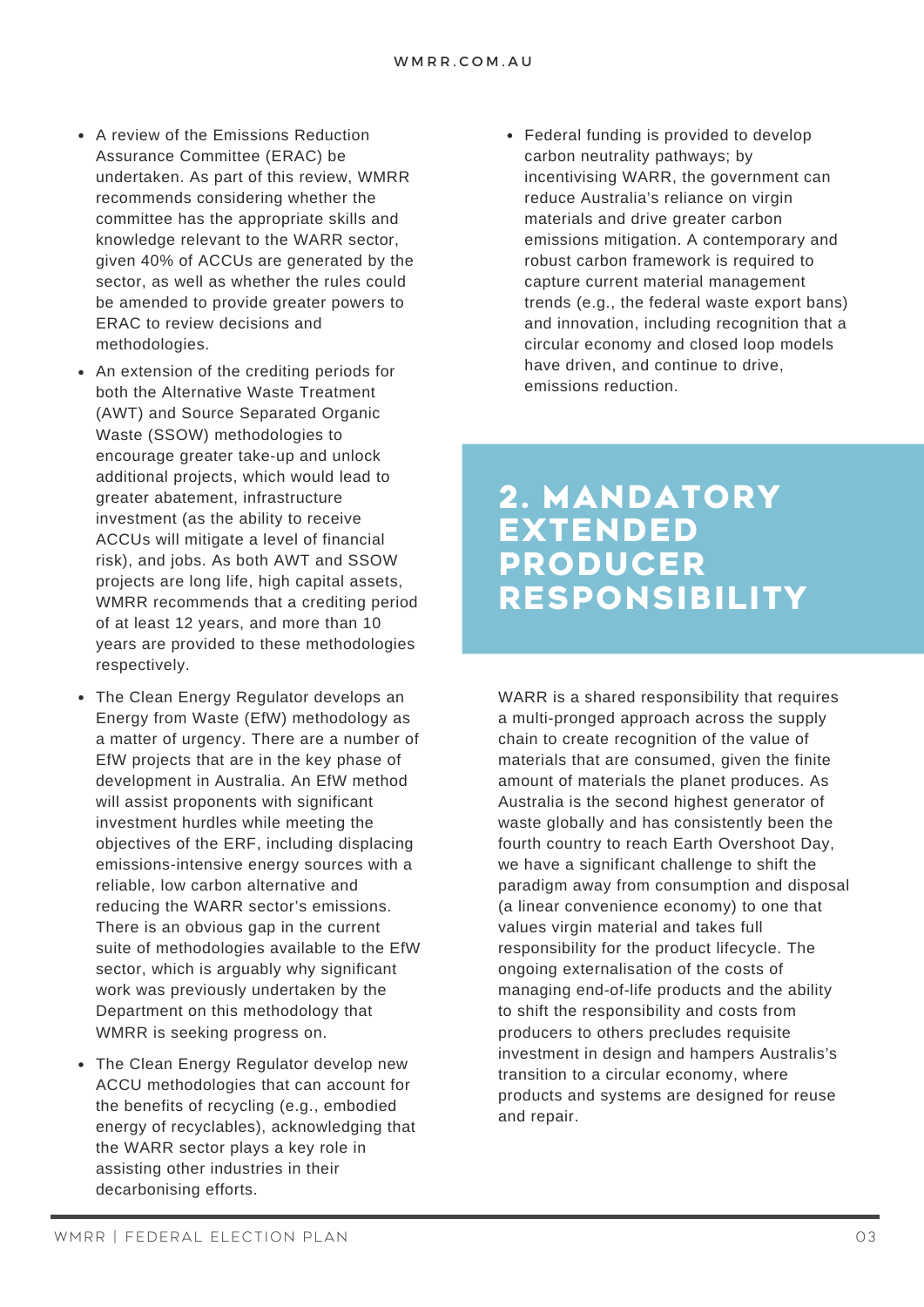- A review of the Emissions Reduction Assurance Committee (ERAC) be undertaken. As part of this review, WMRR recommends considering whether the committee has the appropriate skills and knowledge relevant to the WARR sector, given 40% of ACCUs are generated by the sector, as well as whether the rules could be amended to provide greater powers to ERAC to review decisions and methodologies.
- An extension of the crediting periods for both the Alternative Waste Treatment (AWT) and Source Separated Organic Waste (SSOW) methodologies to encourage greater take-up and unlock additional projects, which would lead to greater abatement, infrastructure investment (as the ability to receive ACCUs will mitigate a level of financial risk), and jobs. As both AWT and SSOW projects are long life, high capital assets, WMRR recommends that a crediting period of at least 12 years, and more than 10 years are provided to these methodologies respectively.
- The Clean Energy Regulator develops an Energy from Waste (EfW) methodology as a matter of urgency. There are a number of EfW projects that are in the key phase of development in Australia. An EfW method will assist proponents with significant investment hurdles while meeting the objectives of the ERF, including displacing emissions-intensive energy sources with a reliable, low carbon alternative and reducing the WARR sector's emissions. There is an obvious gap in the current suite of methodologies available to the EfW sector, which is arguably why significant work was previously undertaken by the Department on this methodology that WMRR is seeking progress on.
- The Clean Energy Regulator develop new ACCU methodologies that can account for the benefits of recycling (e.g., embodied energy of recyclables), acknowledging that the WARR sector plays a key role in assisting other industries in their decarbonising efforts.

Federal funding is provided to develop carbon neutrality pathways; by incentivising WARR, the government can reduce Australia's reliance on virgin materials and drive greater carbon emissions mitigation. A contemporary and robust carbon framework is required to capture current material management trends (e.g., the federal waste export bans) and innovation, including recognition that a circular economy and closed loop models have driven, and continue to drive, emissions reduction.

### **2. MANDATORY EXTENDED PRODUCER RESPONSIBILITY**

WARR is a shared responsibility that requires a multi-pronged approach across the supply chain to create recognition of the value of materials that are consumed, given the finite amount of materials the planet produces. As Australia is the second highest generator of waste globally and has consistently been the fourth country to reach Earth Overshoot Day, we have a significant challenge to shift the paradigm away from consumption and disposal (a linear convenience economy) to one that values virgin material and takes full responsibility for the product lifecycle. The ongoing externalisation of the costs of managing end-of-life products and the ability to shift the responsibility and costs from producers to others precludes requisite investment in design and hampers Australis's transition to a circular economy, where products and systems are designed for reuse and repair.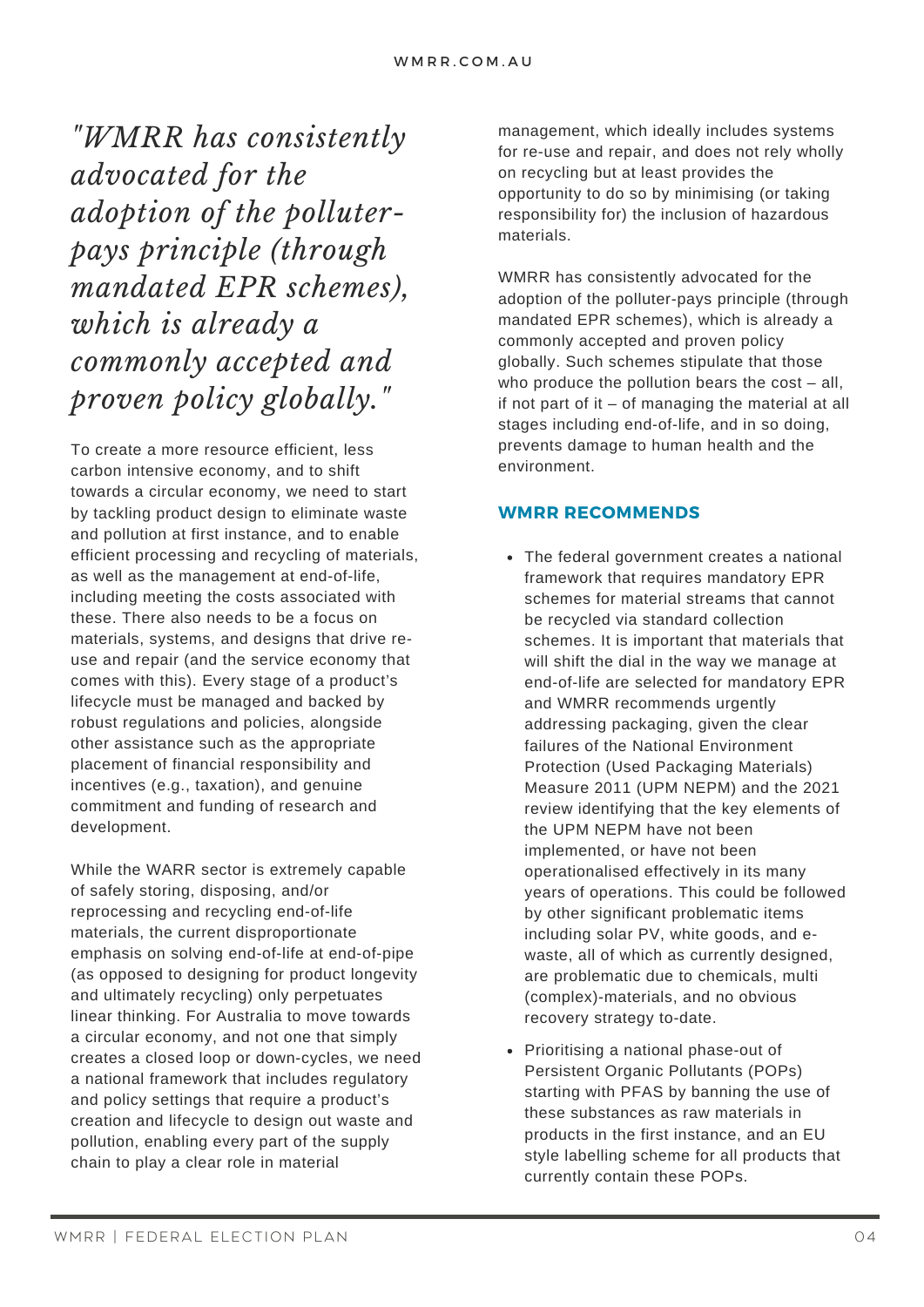*"WMRR has consistently advocated for the adoption of the polluterpays principle (through mandated EPR schemes), which is already a commonly accepted and proven policy globally."*

To create a more resource efficient, less carbon intensive economy, and to shift towards a circular economy, we need to start by tackling product design to eliminate waste and pollution at first instance, and to enable efficient processing and recycling of materials, as well as the management at end-of-life, including meeting the costs associated with these. There also needs to be a focus on materials, systems, and designs that drive reuse and repair (and the service economy that comes with this). Every stage of a product's lifecycle must be managed and backed by robust regulations and policies, alongside other assistance such as the appropriate placement of financial responsibility and incentives (e.g., taxation), and genuine commitment and funding of research and development.

While the WARR sector is extremely capable of safely storing, disposing, and/or reprocessing and recycling end-of-life materials, the current disproportionate emphasis on solving end-of-life at end-of-pipe (as opposed to designing for product longevity and ultimately recycling) only perpetuates linear thinking. For Australia to move towards a circular economy, and not one that simply creates a closed loop or down-cycles, we need a national framework that includes regulatory and policy settings that require a product's creation and lifecycle to design out waste and pollution, enabling every part of the supply chain to play a clear role in material

management, which ideally includes systems for re-use and repair, and does not rely wholly on recycling but at least provides the opportunity to do so by minimising (or taking responsibility for) the inclusion of hazardous materials.

WMRR has consistently advocated for the adoption of the polluter-pays principle (through mandated EPR schemes), which is already a commonly accepted and proven policy globally. Such schemes stipulate that those who produce the pollution bears the  $cost - all$ , if not part of it – of managing the material at all stages including end-of-life, and in so doing, prevents damage to human health and the environment.

#### **WMRR RECOMMENDS**

- The federal government creates a national framework that requires mandatory EPR schemes for material streams that cannot be recycled via standard collection schemes. It is important that materials that will shift the dial in the way we manage at end-of-life are selected for mandatory EPR and WMRR recommends urgently addressing packaging, given the clear failures of the National Environment Protection (Used Packaging Materials) Measure 2011 (UPM NEPM) and the 2021 review identifying that the key elements of the UPM NEPM have not been implemented, or have not been operationalised effectively in its many years of operations. This could be followed by other significant problematic items including solar PV, white goods, and ewaste, all of which as currently designed, are problematic due to chemicals, multi (complex)-materials, and no obvious recovery strategy to-date.
- Prioritising a national phase-out of Persistent Organic Pollutants (POPs) starting with PFAS by banning the use of these substances as raw materials in products in the first instance, and an EU style labelling scheme for all products that currently contain these POPs.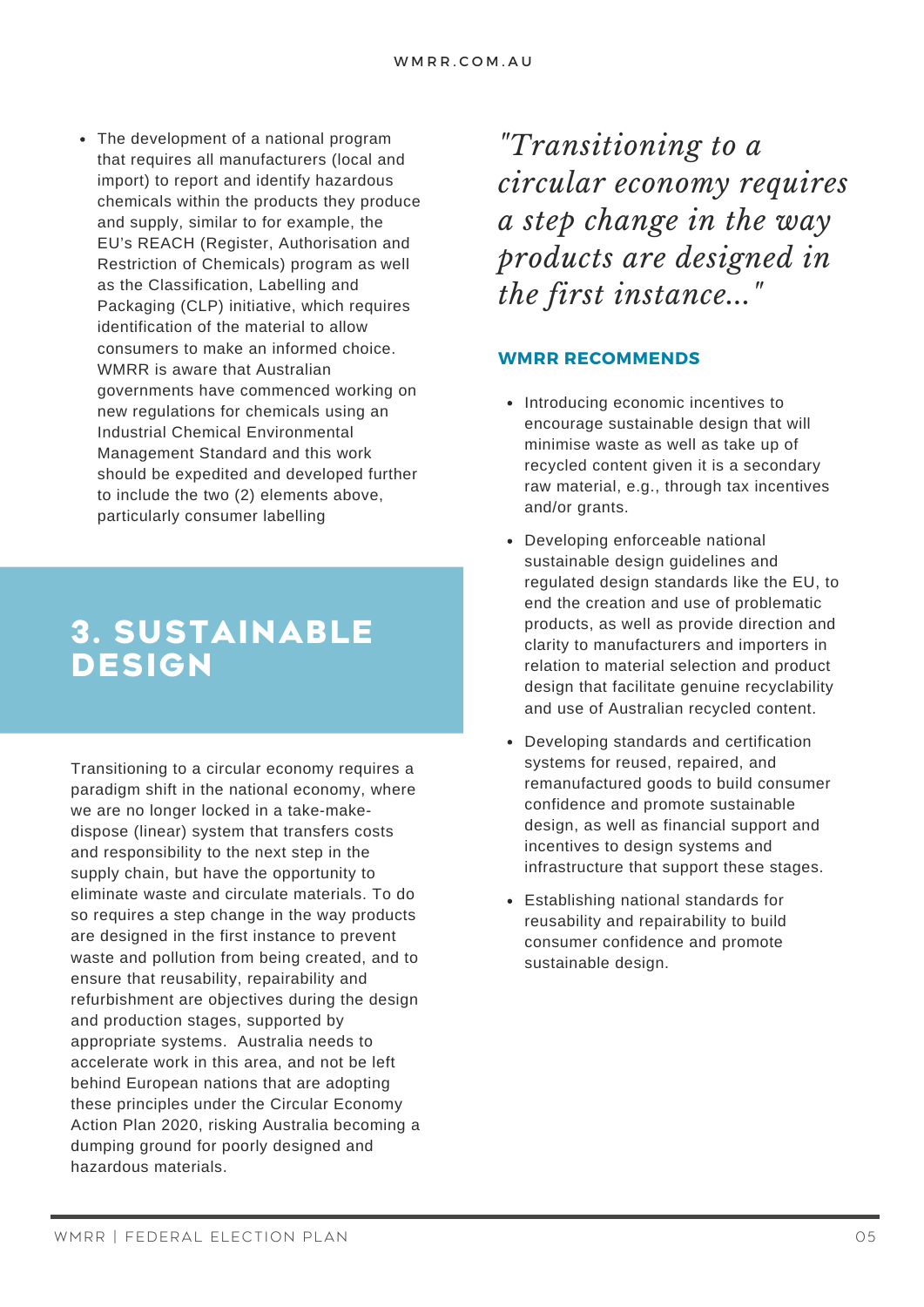• The development of a national program that requires all manufacturers (local and import) to report and identify hazardous chemicals within the products they produce and supply, similar to for example, the EU's REACH (Register, Authorisation and Restriction of Chemicals) program as well as the Classification, Labelling and Packaging (CLP) initiative, which requires identification of the material to allow consumers to make an informed choice. WMRR is aware that Australian governments have commenced working on new regulations for chemicals using an Industrial Chemical Environmental Management Standard and this work should be expedited and developed further to include the two (2) elements above, particularly consumer labelling

# **3. SUSTAINABLE DESIGN**

Transitioning to a circular economy requires a paradigm shift in the national economy, where we are no longer locked in a take-makedispose (linear) system that transfers costs and responsibility to the next step in the supply chain, but have the opportunity to eliminate waste and circulate materials. To do so requires a step change in the way products are designed in the first instance to prevent waste and pollution from being created, and to ensure that reusability, repairability and refurbishment are objectives during the design and production stages, supported by appropriate systems. Australia needs to accelerate work in this area, and not be left behind European nations that are adopting these principles under the Circular Economy Action Plan 2020, risking Australia becoming a dumping ground for poorly designed and hazardous materials.

*"Transitioning to a circular economy requires a step change in the way products are designed in the first instance..."*

### **WMRR RECOMMENDS**

- Introducing economic incentives to encourage sustainable design that will minimise waste as well as take up of recycled content given it is a secondary raw material, e.g., through tax incentives and/or grants.
- Developing enforceable national sustainable design guidelines and regulated design standards like the EU, to end the creation and use of problematic products, as well as provide direction and clarity to manufacturers and importers in relation to material selection and product design that facilitate genuine recyclability and use of Australian recycled content.
- Developing standards and certification  $\bullet$ systems for reused, repaired, and remanufactured goods to build consumer confidence and promote sustainable design, as well as financial support and incentives to design systems and infrastructure that support these stages.
- Establishing national standards for reusability and repairability to build consumer confidence and promote sustainable design.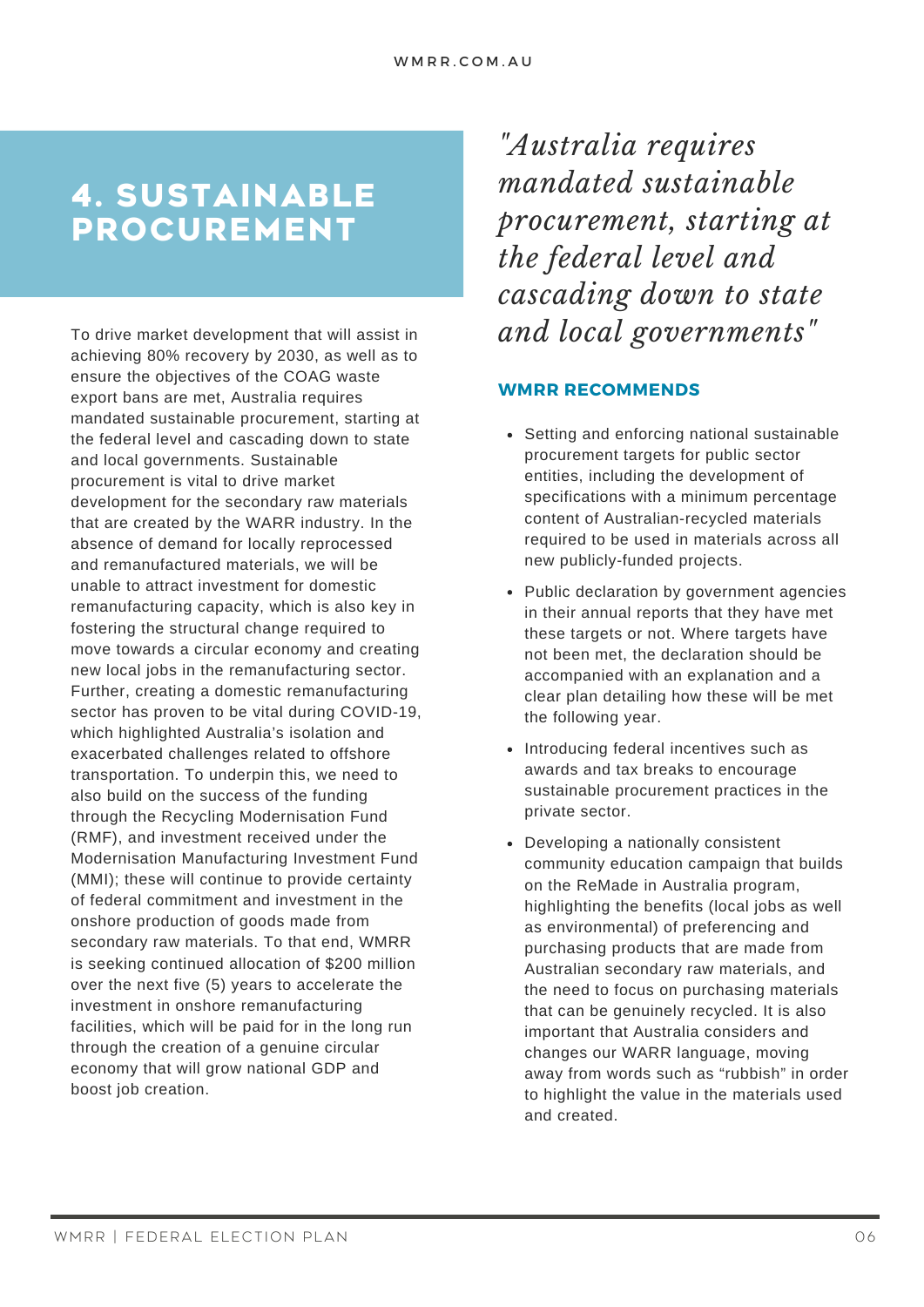# **4. SUSTAINABLE PROCUREMENT**

To drive market development that will assist in achieving 80% recovery by 2030, as well as to ensure the objectives of the COAG waste export bans are met, Australia requires mandated sustainable procurement, starting at the federal level and cascading down to state and local governments. Sustainable procurement is vital to drive market development for the secondary raw materials that are created by the WARR industry. In the absence of demand for locally reprocessed and remanufactured materials, we will be unable to attract investment for domestic remanufacturing capacity, which is also key in fostering the structural change required to move towards a circular economy and creating new local jobs in the remanufacturing sector. Further, creating a domestic remanufacturing sector has proven to be vital during COVID-19, which highlighted Australia's isolation and exacerbated challenges related to offshore transportation. To underpin this, we need to also build on the success of the funding through the Recycling Modernisation Fund (RMF), and investment received under the Modernisation Manufacturing Investment Fund (MMI); these will continue to provide certainty of federal commitment and investment in the onshore production of goods made from secondary raw materials. To that end, WMRR is seeking continued allocation of \$200 million over the next five (5) years to accelerate the investment in onshore remanufacturing facilities, which will be paid for in the long run through the creation of a genuine circular economy that will grow national GDP and boost job creation.

*"Australia requires mandated sustainable procurement, starting at the federal level and cascading down to state and local governments "*

### **WMRR RECOMMENDS**

- Setting and enforcing national sustainable procurement targets for public sector entities, including the development of specifications with a minimum percentage content of Australian-recycled materials required to be used in materials across all new publicly-funded projects.
- Public declaration by government agencies in their annual reports that they have met these targets or not. Where targets have not been met, the declaration should be accompanied with an explanation and a clear plan detailing how these will be met the following year.
- Introducing federal incentives such as awards and tax breaks to encourage sustainable procurement practices in the private sector.
- Developing a nationally consistent community education campaign that builds on the ReMade in Australia program, highlighting the benefits (local jobs as well as environmental) of preferencing and purchasing products that are made from Australian secondary raw materials, and the need to focus on purchasing materials that can be genuinely recycled. It is also important that Australia considers and changes our WARR language, moving away from words such as "rubbish" in order to highlight the value in the materials used and created.